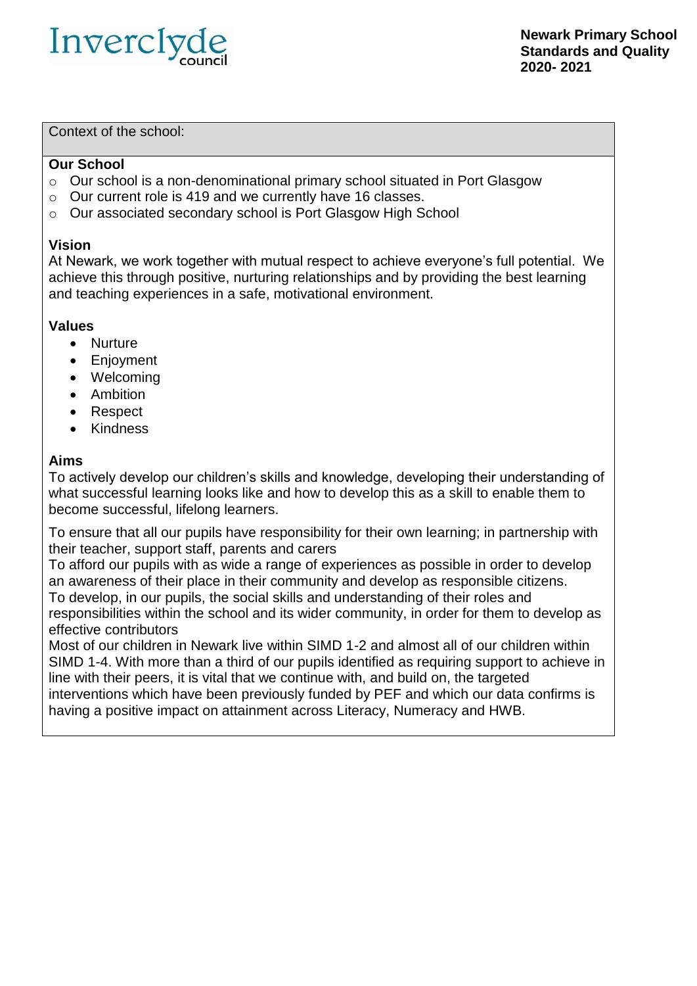

Context of the school:

#### **Our School**

- o Our school is a non-denominational primary school situated in Port Glasgow
- o Our current role is 419 and we currently have 16 classes.
- o Our associated secondary school is Port Glasgow High School

#### **Vision**

At Newark, we work together with mutual respect to achieve everyone's full potential. We achieve this through positive, nurturing relationships and by providing the best learning and teaching experiences in a safe, motivational environment.

#### **Values**

- Nurture
- Enjoyment
- Welcoming
- Ambition
- Respect
- Kindness

### **Aims**

To actively develop our children's skills and knowledge, developing their understanding of what successful learning looks like and how to develop this as a skill to enable them to become successful, lifelong learners.

To ensure that all our pupils have responsibility for their own learning; in partnership with their teacher, support staff, parents and carers

To afford our pupils with as wide a range of experiences as possible in order to develop an awareness of their place in their community and develop as responsible citizens. To develop, in our pupils, the social skills and understanding of their roles and responsibilities within the school and its wider community, in order for them to develop as effective contributors

Most of our children in Newark live within SIMD 1-2 and almost all of our children within SIMD 1-4. With more than a third of our pupils identified as requiring support to achieve in line with their peers, it is vital that we continue with, and build on, the targeted interventions which have been previously funded by PEF and which our data confirms is having a positive impact on attainment across Literacy, Numeracy and HWB.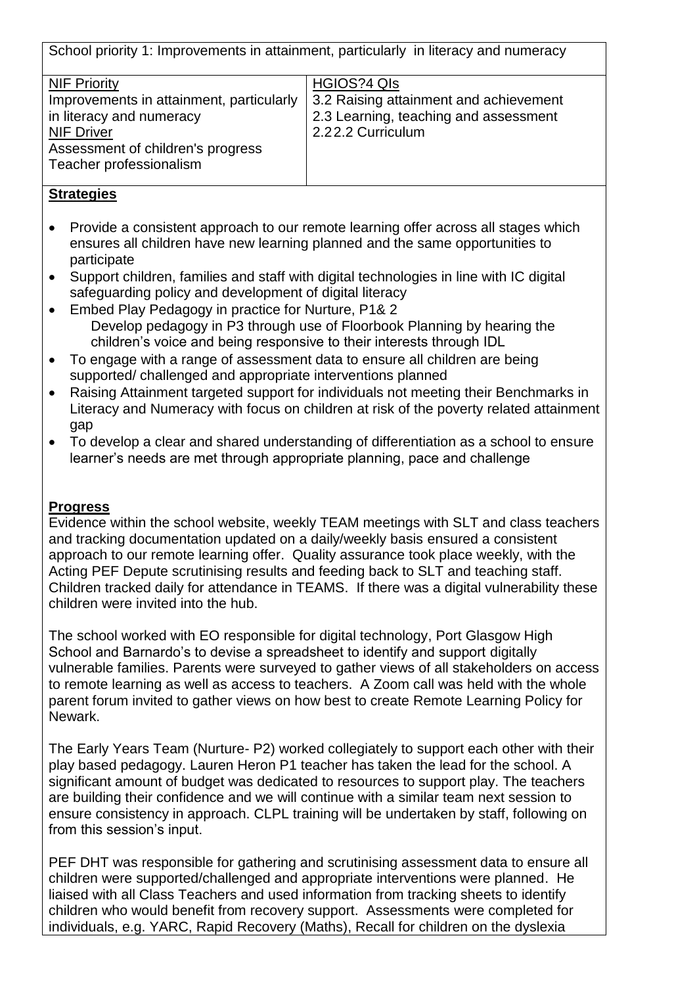School priority 1: Improvements in attainment, particularly in literacy and numeracy

| <b>NIF Priority</b>                      | <b>HGIOS?4 QIS</b>                     |
|------------------------------------------|----------------------------------------|
| Improvements in attainment, particularly | 3.2 Raising attainment and achievement |
| in literacy and numeracy                 | 2.3 Learning, teaching and assessment  |
| <b>NIF Driver</b>                        | 2.22.2 Curriculum                      |
| Assessment of children's progress        |                                        |
| Teacher professionalism                  |                                        |
|                                          |                                        |

### **Strategies**

- Provide a consistent approach to our remote learning offer across all stages which ensures all children have new learning planned and the same opportunities to participate
- Support children, families and staff with digital technologies in line with IC digital safeguarding policy and development of digital literacy
- Embed Play Pedagogy in practice for Nurture, P1& 2 Develop pedagogy in P3 through use of Floorbook Planning by hearing the children's voice and being responsive to their interests through IDL
- To engage with a range of assessment data to ensure all children are being supported/ challenged and appropriate interventions planned
- Raising Attainment targeted support for individuals not meeting their Benchmarks in Literacy and Numeracy with focus on children at risk of the poverty related attainment gap
- To develop a clear and shared understanding of differentiation as a school to ensure learner's needs are met through appropriate planning, pace and challenge

#### **Progress**

Evidence within the school website, weekly TEAM meetings with SLT and class teachers and tracking documentation updated on a daily/weekly basis ensured a consistent approach to our remote learning offer. Quality assurance took place weekly, with the Acting PEF Depute scrutinising results and feeding back to SLT and teaching staff. Children tracked daily for attendance in TEAMS. If there was a digital vulnerability these children were invited into the hub.

The school worked with EO responsible for digital technology, Port Glasgow High School and Barnardo's to devise a spreadsheet to identify and support digitally vulnerable families. Parents were surveyed to gather views of all stakeholders on access to remote learning as well as access to teachers. A Zoom call was held with the whole parent forum invited to gather views on how best to create Remote Learning Policy for Newark.

The Early Years Team (Nurture- P2) worked collegiately to support each other with their play based pedagogy. Lauren Heron P1 teacher has taken the lead for the school. A significant amount of budget was dedicated to resources to support play. The teachers are building their confidence and we will continue with a similar team next session to ensure consistency in approach. CLPL training will be undertaken by staff, following on from this session's input.

PEF DHT was responsible for gathering and scrutinising assessment data to ensure all children were supported/challenged and appropriate interventions were planned. He liaised with all Class Teachers and used information from tracking sheets to identify children who would benefit from recovery support. Assessments were completed for individuals, e.g. YARC, Rapid Recovery (Maths), Recall for children on the dyslexia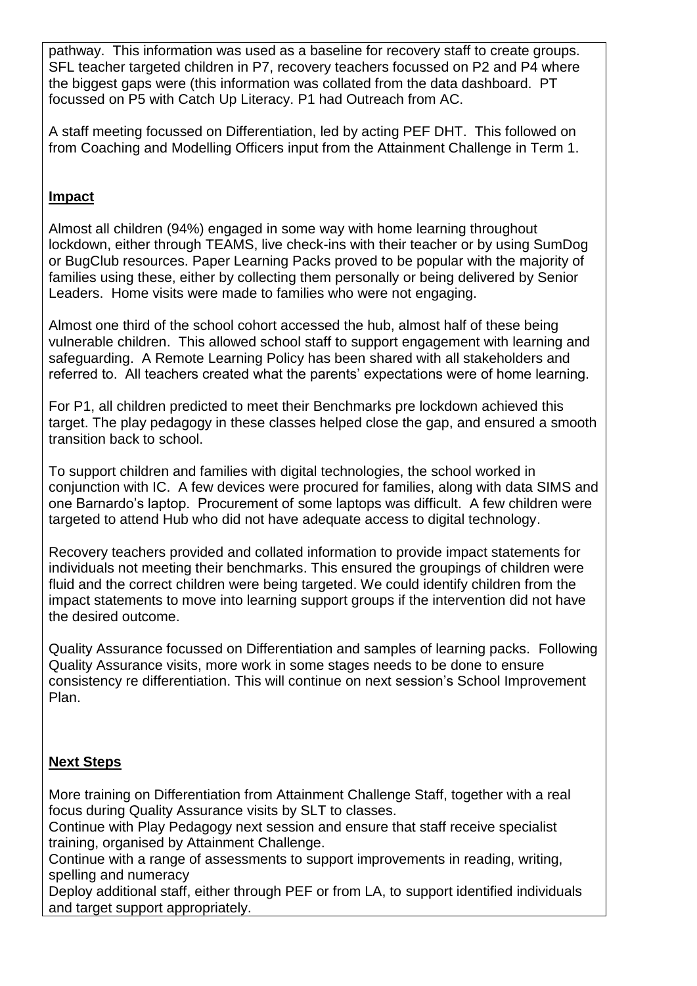pathway. This information was used as a baseline for recovery staff to create groups. SFL teacher targeted children in P7, recovery teachers focussed on P2 and P4 where the biggest gaps were (this information was collated from the data dashboard. PT focussed on P5 with Catch Up Literacy. P1 had Outreach from AC.

A staff meeting focussed on Differentiation, led by acting PEF DHT. This followed on from Coaching and Modelling Officers input from the Attainment Challenge in Term 1.

# **Impact**

Almost all children (94%) engaged in some way with home learning throughout lockdown, either through TEAMS, live check-ins with their teacher or by using SumDog or BugClub resources. Paper Learning Packs proved to be popular with the majority of families using these, either by collecting them personally or being delivered by Senior Leaders. Home visits were made to families who were not engaging.

Almost one third of the school cohort accessed the hub, almost half of these being vulnerable children. This allowed school staff to support engagement with learning and safeguarding. A Remote Learning Policy has been shared with all stakeholders and referred to. All teachers created what the parents' expectations were of home learning.

For P1, all children predicted to meet their Benchmarks pre lockdown achieved this target. The play pedagogy in these classes helped close the gap, and ensured a smooth transition back to school.

To support children and families with digital technologies, the school worked in conjunction with IC. A few devices were procured for families, along with data SIMS and one Barnardo's laptop. Procurement of some laptops was difficult. A few children were targeted to attend Hub who did not have adequate access to digital technology.

Recovery teachers provided and collated information to provide impact statements for individuals not meeting their benchmarks. This ensured the groupings of children were fluid and the correct children were being targeted. We could identify children from the impact statements to move into learning support groups if the intervention did not have the desired outcome.

Quality Assurance focussed on Differentiation and samples of learning packs. Following Quality Assurance visits, more work in some stages needs to be done to ensure consistency re differentiation. This will continue on next session's School Improvement Plan.

# **Next Steps**

More training on Differentiation from Attainment Challenge Staff, together with a real focus during Quality Assurance visits by SLT to classes.

Continue with Play Pedagogy next session and ensure that staff receive specialist training, organised by Attainment Challenge.

Continue with a range of assessments to support improvements in reading, writing, spelling and numeracy

Deploy additional staff, either through PEF or from LA, to support identified individuals and target support appropriately.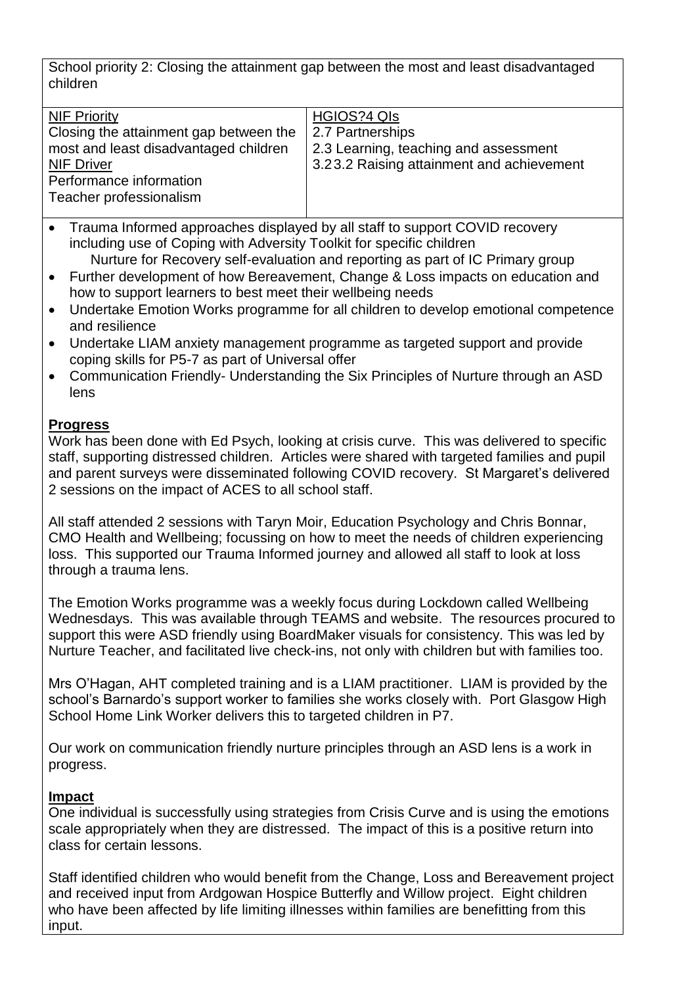School priority 2: Closing the attainment gap between the most and least disadvantaged children

| <b>NIF Priority</b>                    | HGIOS?4 QIS                               |
|----------------------------------------|-------------------------------------------|
| Closing the attainment gap between the | 2.7 Partnerships                          |
| most and least disadvantaged children  | 2.3 Learning, teaching and assessment     |
| <b>NIF Driver</b>                      | 3.23.2 Raising attainment and achievement |
| Performance information                |                                           |
| Teacher professionalism                |                                           |
|                                        |                                           |

- Trauma Informed approaches displayed by all staff to support COVID recovery including use of Coping with Adversity Toolkit for specific children
- Nurture for Recovery self-evaluation and reporting as part of IC Primary group Further development of how Bereavement, Change & Loss impacts on education and how to support learners to best meet their wellbeing needs
- Undertake Emotion Works programme for all children to develop emotional competence and resilience
- Undertake LIAM anxiety management programme as targeted support and provide coping skills for P5-7 as part of Universal offer
- Communication Friendly- Understanding the Six Principles of Nurture through an ASD lens

# **Progress**

Work has been done with Ed Psych, looking at crisis curve. This was delivered to specific staff, supporting distressed children. Articles were shared with targeted families and pupil and parent surveys were disseminated following COVID recovery. St Margaret's delivered 2 sessions on the impact of ACES to all school staff.

All staff attended 2 sessions with Taryn Moir, Education Psychology and Chris Bonnar, CMO Health and Wellbeing; focussing on how to meet the needs of children experiencing loss. This supported our Trauma Informed journey and allowed all staff to look at loss through a trauma lens.

The Emotion Works programme was a weekly focus during Lockdown called Wellbeing Wednesdays. This was available through TEAMS and website. The resources procured to support this were ASD friendly using BoardMaker visuals for consistency. This was led by Nurture Teacher, and facilitated live check-ins, not only with children but with families too.

Mrs O'Hagan, AHT completed training and is a LIAM practitioner. LIAM is provided by the school's Barnardo's support worker to families she works closely with. Port Glasgow High School Home Link Worker delivers this to targeted children in P7.

Our work on communication friendly nurture principles through an ASD lens is a work in progress.

## **Impact**

One individual is successfully using strategies from Crisis Curve and is using the emotions scale appropriately when they are distressed. The impact of this is a positive return into class for certain lessons.

Staff identified children who would benefit from the Change, Loss and Bereavement project and received input from Ardgowan Hospice Butterfly and Willow project. Eight children who have been affected by life limiting illnesses within families are benefitting from this input.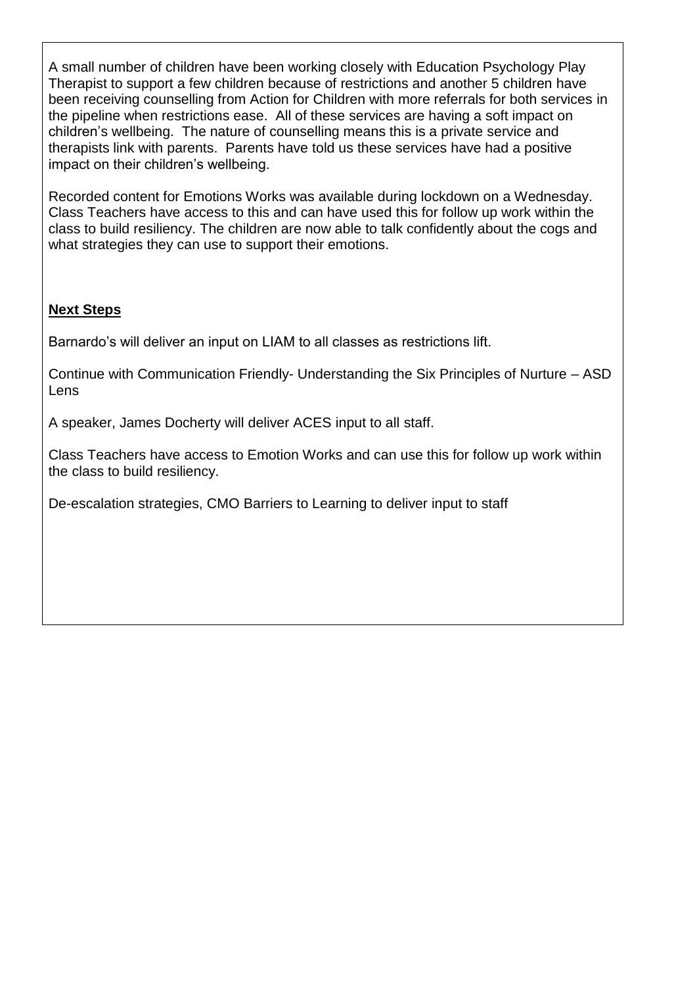A small number of children have been working closely with Education Psychology Play Therapist to support a few children because of restrictions and another 5 children have been receiving counselling from Action for Children with more referrals for both services in the pipeline when restrictions ease. All of these services are having a soft impact on children's wellbeing. The nature of counselling means this is a private service and therapists link with parents. Parents have told us these services have had a positive impact on their children's wellbeing.

Recorded content for Emotions Works was available during lockdown on a Wednesday. Class Teachers have access to this and can have used this for follow up work within the class to build resiliency. The children are now able to talk confidently about the cogs and what strategies they can use to support their emotions.

## **Next Steps**

Barnardo's will deliver an input on LIAM to all classes as restrictions lift.

Continue with Communication Friendly- Understanding the Six Principles of Nurture – ASD Lens

A speaker, James Docherty will deliver ACES input to all staff.

Class Teachers have access to Emotion Works and can use this for follow up work within the class to build resiliency.

De-escalation strategies, CMO Barriers to Learning to deliver input to staff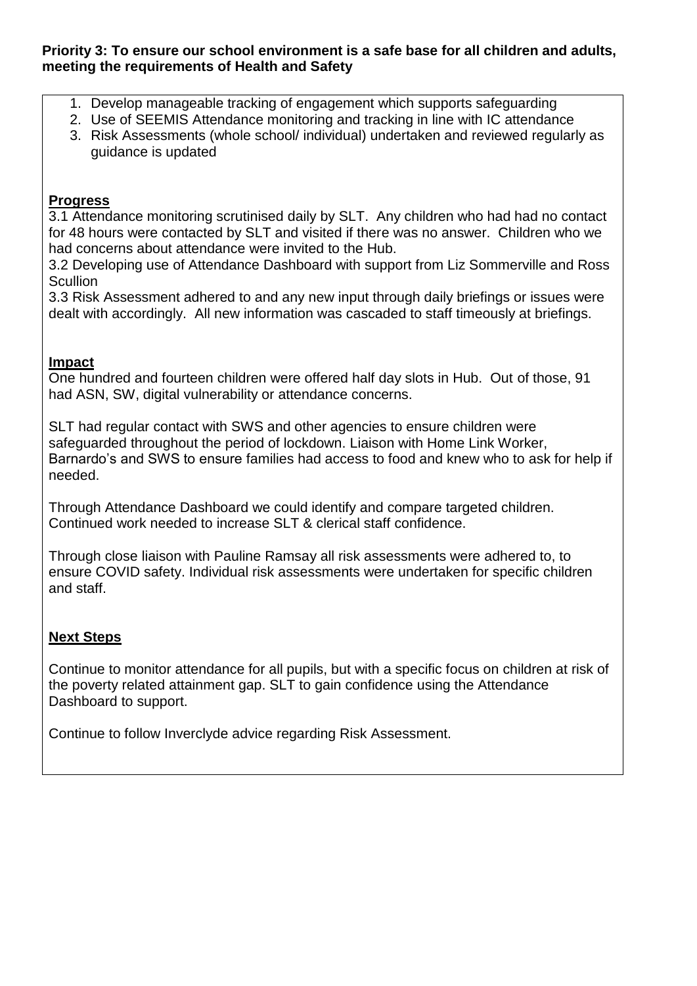#### **Priority 3: To ensure our school environment is a safe base for all children and adults, meeting the requirements of Health and Safety**

- 1. Develop manageable tracking of engagement which supports safeguarding
- 2. Use of SEEMIS Attendance monitoring and tracking in line with IC attendance
- 3. Risk Assessments (whole school/ individual) undertaken and reviewed regularly as guidance is updated

### **Progress**

3.1 Attendance monitoring scrutinised daily by SLT. Any children who had had no contact for 48 hours were contacted by SLT and visited if there was no answer. Children who we had concerns about attendance were invited to the Hub.

3.2 Developing use of Attendance Dashboard with support from Liz Sommerville and Ross **Scullion** 

3.3 Risk Assessment adhered to and any new input through daily briefings or issues were dealt with accordingly. All new information was cascaded to staff timeously at briefings.

### **Impact**

One hundred and fourteen children were offered half day slots in Hub. Out of those, 91 had ASN, SW, digital vulnerability or attendance concerns.

SLT had regular contact with SWS and other agencies to ensure children were safeguarded throughout the period of lockdown. Liaison with Home Link Worker, Barnardo's and SWS to ensure families had access to food and knew who to ask for help if needed.

Through Attendance Dashboard we could identify and compare targeted children. Continued work needed to increase SLT & clerical staff confidence.

Through close liaison with Pauline Ramsay all risk assessments were adhered to, to ensure COVID safety. Individual risk assessments were undertaken for specific children and staff.

## **Next Steps**

Continue to monitor attendance for all pupils, but with a specific focus on children at risk of the poverty related attainment gap. SLT to gain confidence using the Attendance Dashboard to support.

Continue to follow Inverclyde advice regarding Risk Assessment.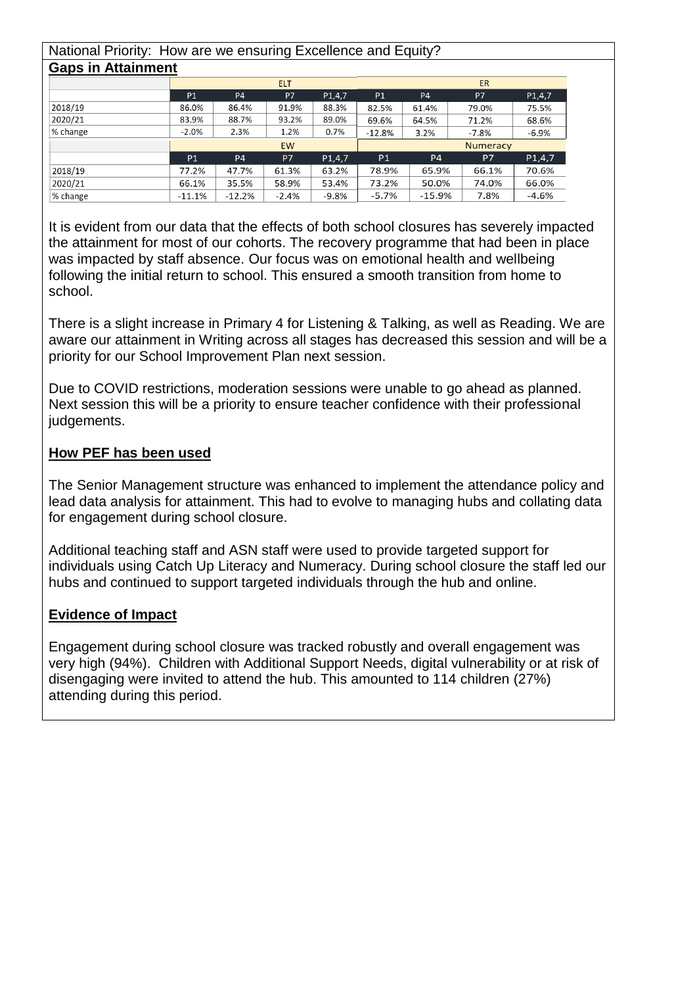#### National Priority: How are we ensuring Excellence and Equity? **Gaps in Attainment**

|          | <b>ELT</b> |           |                |                     | <b>ER</b> |           |           |                     |
|----------|------------|-----------|----------------|---------------------|-----------|-----------|-----------|---------------------|
|          | <b>P1</b>  | <b>P4</b> | P <sub>7</sub> | P <sub>1</sub> ,4,7 | <b>P1</b> | <b>P4</b> | P7        | P <sub>1</sub> ,4,7 |
| 2018/19  | 86.0%      | 86.4%     | 91.9%          | 88.3%               | 82.5%     | 61.4%     | 79.0%     | 75.5%               |
| 2020/21  | 83.9%      | 88.7%     | 93.2%          | 89.0%               | 69.6%     | 64.5%     | 71.2%     | 68.6%               |
| % change | $-2.0%$    | 2.3%      | 1.2%           | 0.7%                | $-12.8%$  | 3.2%      | $-7.8%$   | $-6.9%$             |
|          | <b>EW</b>  |           |                |                     | Numeracy  |           |           |                     |
|          | <b>P1</b>  | <b>P4</b> | P7             | P <sub>1</sub> ,4,7 | <b>P1</b> | <b>P4</b> | <b>P7</b> | P1,4,7              |
| 2018/19  | 77.2%      | 47.7%     | 61.3%          | 63.2%               | 78.9%     | 65.9%     | 66.1%     | 70.6%               |
| 2020/21  | 66.1%      | 35.5%     | 58.9%          | 53.4%               | 73.2%     | 50.0%     | 74.0%     | 66.0%               |
| % change | $-11.1%$   | $-12.2%$  | $-2.4%$        | $-9.8%$             | $-5.7%$   | $-15.9%$  | 7.8%      | $-4.6%$             |

It is evident from our data that the effects of both school closures has severely impacted the attainment for most of our cohorts. The recovery programme that had been in place was impacted by staff absence. Our focus was on emotional health and wellbeing following the initial return to school. This ensured a smooth transition from home to school.

There is a slight increase in Primary 4 for Listening & Talking, as well as Reading. We are aware our attainment in Writing across all stages has decreased this session and will be a priority for our School Improvement Plan next session.

Due to COVID restrictions, moderation sessions were unable to go ahead as planned. Next session this will be a priority to ensure teacher confidence with their professional judgements.

### **How PEF has been used**

The Senior Management structure was enhanced to implement the attendance policy and lead data analysis for attainment. This had to evolve to managing hubs and collating data for engagement during school closure.

Additional teaching staff and ASN staff were used to provide targeted support for individuals using Catch Up Literacy and Numeracy. During school closure the staff led our hubs and continued to support targeted individuals through the hub and online.

## **Evidence of Impact**

Engagement during school closure was tracked robustly and overall engagement was very high (94%). Children with Additional Support Needs, digital vulnerability or at risk of disengaging were invited to attend the hub. This amounted to 114 children (27%) attending during this period.